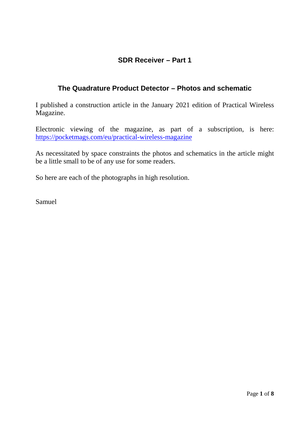## **SDR Receiver – Part 1**

## **The Quadrature Product Detector – Photos and schematic**

I published a construction article in the January 2021 edition of Practical Wireless Magazine.

Electronic viewing of the magazine, as part of a subscription, is here: <https://pocketmags.com/eu/practical-wireless-magazine>

As necessitated by space constraints the photos and schematics in the article might be a little small to be of any use for some readers.

So here are each of the photographs in high resolution.

Samuel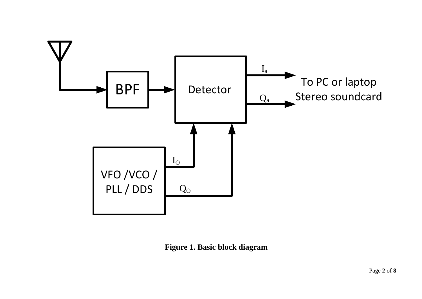

**Figure 1. Basic block diagram**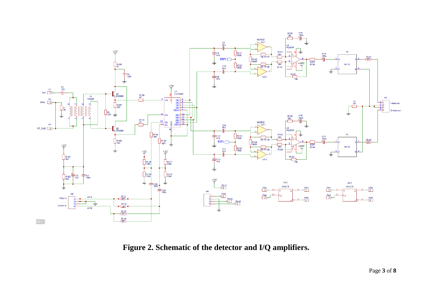

**Figure 2. Schematic of the detector and I/Q amplifiers.**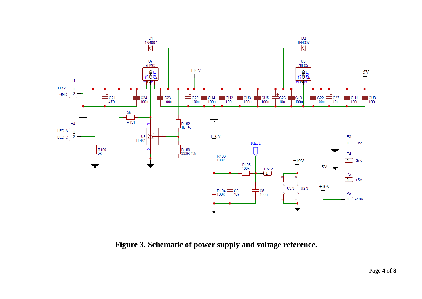

**Figure 3. Schematic of power supply and voltage reference.**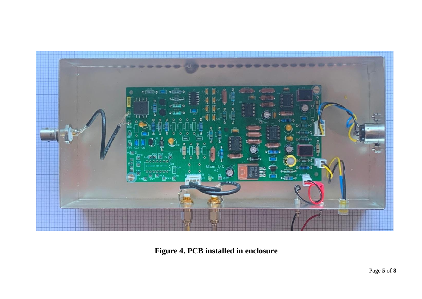

**Figure 4. PCB installed in enclosure**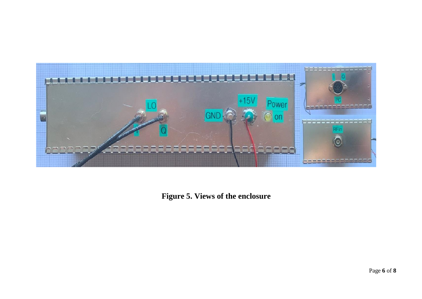

**Figure 5. Views of the enclosure**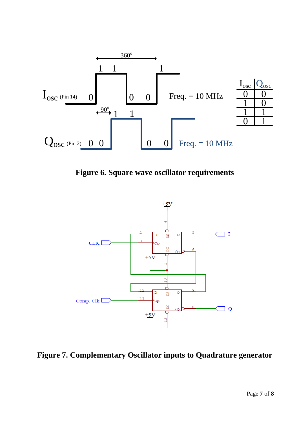

**Figure 6. Square wave oscillator requirements**



## **Figure 7. Complementary Oscillator inputs to Quadrature generator**